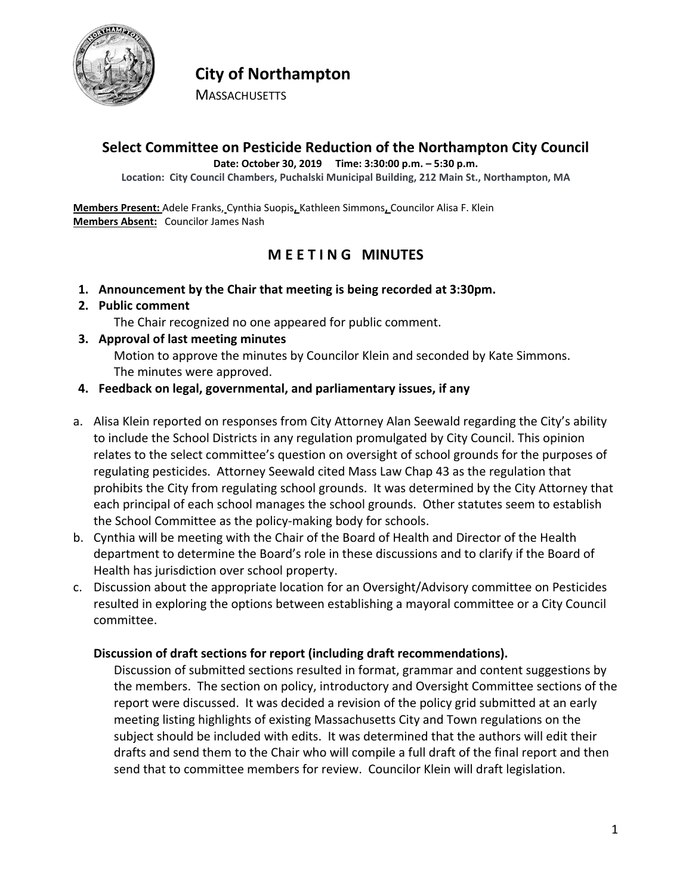

# **City of Northampton**

**MASSACHUSETTS** 

# **Select Committee on Pesticide Reduction of the Northampton City Council**

**Date: October 30, 2019 Time: 3:30:00 p.m. – 5:30 p.m.**

**Location: City Council Chambers, Puchalski Municipal Building, 212 Main St., Northampton, MA**

**Members Present:** Adele Franks, Cynthia Suopis**,** Kathleen Simmons**,** Councilor Alisa F. Klein **Members Absent:** Councilor James Nash

## **M E E T I N G MINUTES**

**1. Announcement by the Chair that meeting is being recorded at 3:30pm.**

#### **2. Public comment**

The Chair recognized no one appeared for public comment.

**3. Approval of last meeting minutes**

Motion to approve the minutes by Councilor Klein and seconded by Kate Simmons. The minutes were approved.

#### **4. Feedback on legal, governmental, and parliamentary issues, if any**

- a. Alisa Klein reported on responses from City Attorney Alan Seewald regarding the City's ability to include the School Districts in any regulation promulgated by City Council. This opinion relates to the select committee's question on oversight of school grounds for the purposes of regulating pesticides. Attorney Seewald cited Mass Law Chap 43 as the regulation that prohibits the City from regulating school grounds. It was determined by the City Attorney that each principal of each school manages the school grounds. Other statutes seem to establish the School Committee as the policy-making body for schools.
- b. Cynthia will be meeting with the Chair of the Board of Health and Director of the Health department to determine the Board's role in these discussions and to clarify if the Board of Health has jurisdiction over school property.
- c. Discussion about the appropriate location for an Oversight/Advisory committee on Pesticides resulted in exploring the options between establishing a mayoral committee or a City Council committee.

#### **Discussion of draft sections for report (including draft recommendations).**

Discussion of submitted sections resulted in format, grammar and content suggestions by the members. The section on policy, introductory and Oversight Committee sections of the report were discussed. It was decided a revision of the policy grid submitted at an early meeting listing highlights of existing Massachusetts City and Town regulations on the subject should be included with edits. It was determined that the authors will edit their drafts and send them to the Chair who will compile a full draft of the final report and then send that to committee members for review. Councilor Klein will draft legislation.